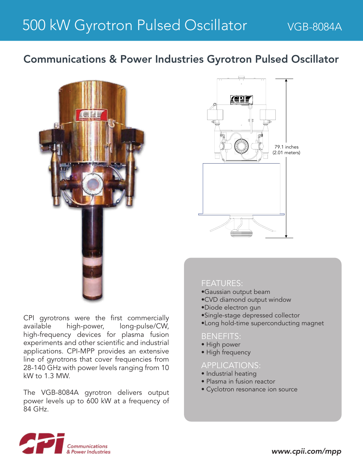# Communications & Power Industries Gyrotron Pulsed Oscillator



CPI gyrotrons were the first commercially available high-power, long-pulse/CW, high-frequency devices for plasma fusion experiments and other scientific and industrial applications. CPI-MPP provides an extensive line of gyrotrons that cover frequencies from 28-140 GHz with power levels ranging from 10 kW to 1.3 MW.

The VGB-8084A gyrotron delivers output power levels up to 600 kW at a frequency of 84 GHz.



### FEATURES:

- •Gaussian output beam
- •CVD diamond output window
- •Diode electron gun
- •Single-stage depressed collector
- •Long hold-time superconducting magnet

### BENEFITS:

- High power
- High frequency

### APPLICATIONS:

- Industrial heating
- Plasma in fusion reactor
- Cyclotron resonance ion source